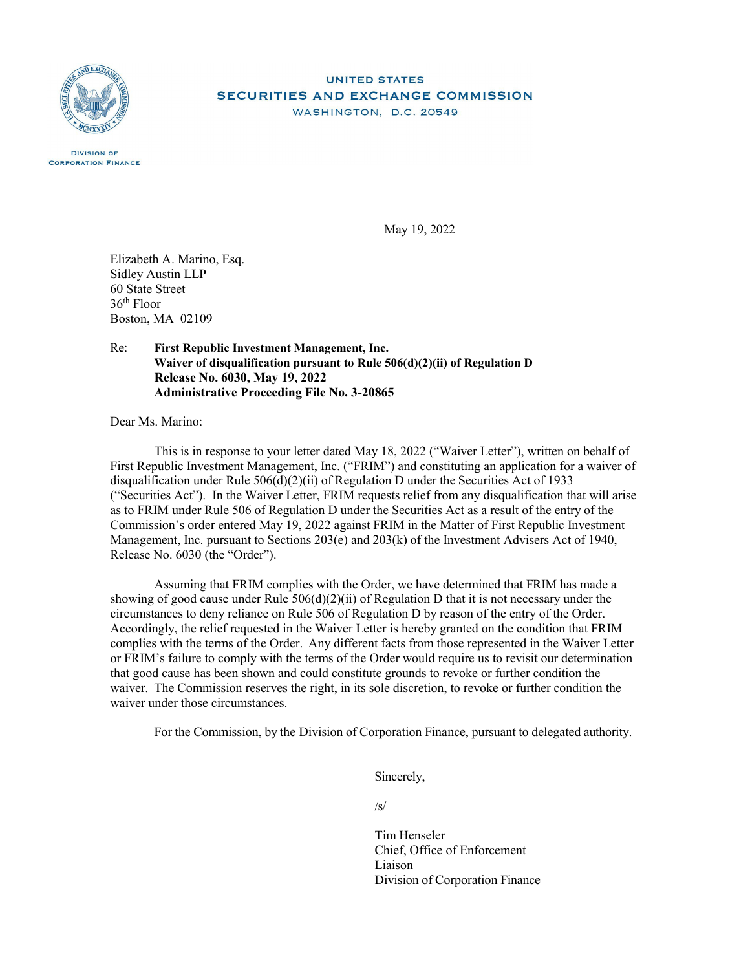

#### **UNITED STATES** SECURITIES AND EXCHANGE COMMISSION WASHINGTON, D.C. 20549

**DIVISION OF CORPORATION FINANCE** 

May 19, 2022

Elizabeth A. Marino, Esq. Sidley Austin LLP 60 State Street 36th Floor Boston, MA 02109

#### Re: **First Republic Investment Management, Inc. Waiver of disqualification pursuant to Rule 506(d)(2)(ii) of Regulation D Release No. 6030, May 19, 2022 Administrative Proceeding File No. 3-20865**

Dear Ms. Marino:

This is in response to your letter dated May 18, 2022 ("Waiver Letter"), written on behalf of First Republic Investment Management, Inc. ("FRIM") and constituting an application for a waiver of disqualification under Rule  $506(d)(2)(ii)$  of Regulation D under the Securities Act of 1933 ("Securities Act"). In the Waiver Letter, FRIM requests relief from any disqualification that will arise as to FRIM under Rule 506 of Regulation D under the Securities Act as a result of the entry of the Commission's order entered May 19, 2022 against FRIM in the Matter of First Republic Investment Management, Inc. pursuant to Sections 203(e) and 203(k) of the Investment Advisers Act of 1940, Release No. 6030 (the "Order").

Assuming that FRIM complies with the Order, we have determined that FRIM has made a showing of good cause under Rule 506(d)(2)(ii) of Regulation D that it is not necessary under the circumstances to deny reliance on Rule 506 of Regulation D by reason of the entry of the Order. Accordingly, the relief requested in the Waiver Letter is hereby granted on the condition that FRIM complies with the terms of the Order. Any different facts from those represented in the Waiver Letter or FRIM's failure to comply with the terms of the Order would require us to revisit our determination that good cause has been shown and could constitute grounds to revoke or further condition the waiver. The Commission reserves the right, in its sole discretion, to revoke or further condition the waiver under those circumstances.

For the Commission, by the Division of Corporation Finance, pursuant to delegated authority.

Sincerely,

/s/

Tim Henseler Chief, Office of Enforcement Liaison Division of Corporation Finance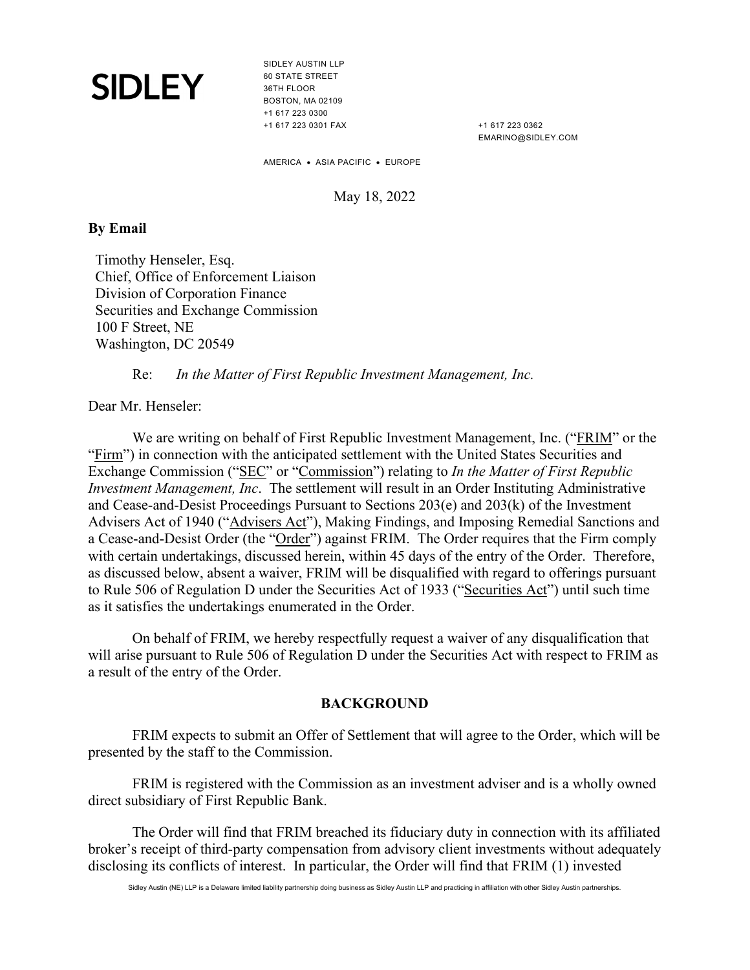SIDLEY AUSTIN LLP 60 STATE STREET 36TH FLOOR BOSTON, MA 02109 +1 617 223 0300 +1 617 223 0301 FAX

+1 617 223 0362 EMARINO@SIDLEY.COM

AMERICA • ASIA PACIFIC • EUROPE

May 18, 2022

### **By Email**

Timothy Henseler, Esq. Chief, Office of Enforcement Liaison Division of Corporation Finance Securities and Exchange Commission 100 F Street, NE Washington, DC 20549

Re: *In the Matter of First Republic Investment Management, Inc.*

Dear Mr. Henseler:

We are writing on behalf of First Republic Investment Management, Inc. ("FRIM" or the "Firm") in connection with the anticipated settlement with the United States Securities and Exchange Commission ("SEC" or "Commission") relating to *In the Matter of First Republic Investment Management, Inc*. The settlement will result in an Order Instituting Administrative and Cease-and-Desist Proceedings Pursuant to Sections 203(e) and 203(k) of the Investment Advisers Act of 1940 ("Advisers Act"), Making Findings, and Imposing Remedial Sanctions and a Cease-and-Desist Order (the "Order") against FRIM. The Order requires that the Firm comply with certain undertakings, discussed herein, within 45 days of the entry of the Order. Therefore, as discussed below, absent a waiver, FRIM will be disqualified with regard to offerings pursuant to Rule 506 of Regulation D under the Securities Act of 1933 ("Securities Act") until such time as it satisfies the undertakings enumerated in the Order.

On behalf of FRIM, we hereby respectfully request a waiver of any disqualification that will arise pursuant to Rule 506 of Regulation D under the Securities Act with respect to FRIM as a result of the entry of the Order.

#### **BACKGROUND**

FRIM expects to submit an Offer of Settlement that will agree to the Order, which will be presented by the staff to the Commission.

FRIM is registered with the Commission as an investment adviser and is a wholly owned direct subsidiary of First Republic Bank.

The Order will find that FRIM breached its fiduciary duty in connection with its affiliated broker's receipt of third-party compensation from advisory client investments without adequately disclosing its conflicts of interest. In particular, the Order will find that FRIM (1) invested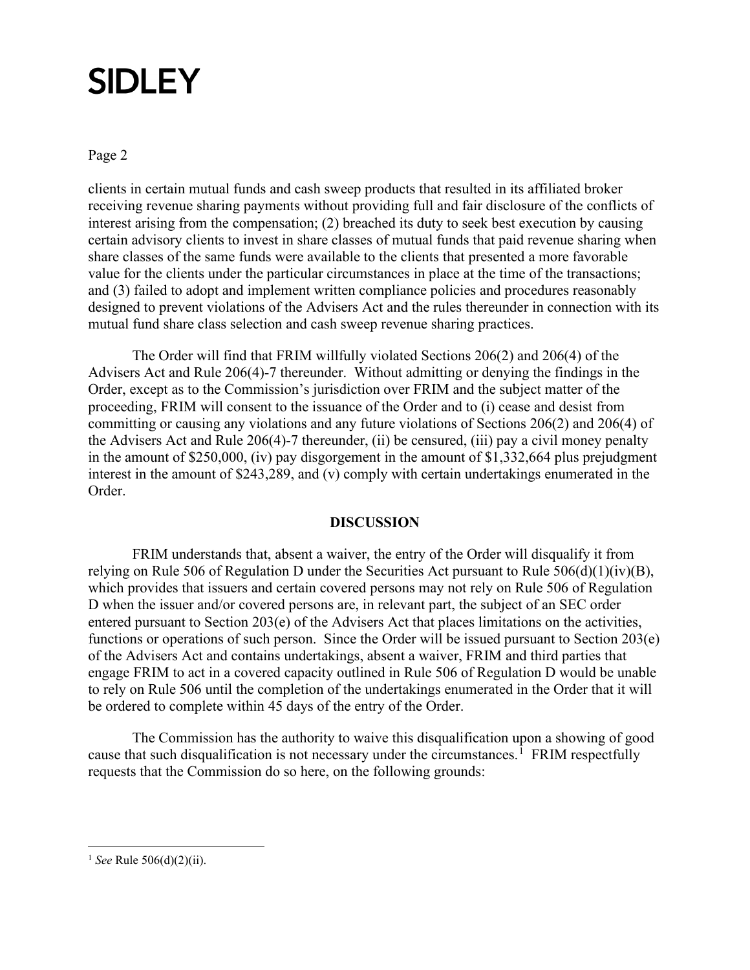#### Page 2

clients in certain mutual funds and cash sweep products that resulted in its affiliated broker receiving revenue sharing payments without providing full and fair disclosure of the conflicts of interest arising from the compensation; (2) breached its duty to seek best execution by causing certain advisory clients to invest in share classes of mutual funds that paid revenue sharing when share classes of the same funds were available to the clients that presented a more favorable value for the clients under the particular circumstances in place at the time of the transactions; and (3) failed to adopt and implement written compliance policies and procedures reasonably designed to prevent violations of the Advisers Act and the rules thereunder in connection with its mutual fund share class selection and cash sweep revenue sharing practices.

The Order will find that FRIM willfully violated Sections 206(2) and 206(4) of the Advisers Act and Rule 206(4)-7 thereunder. Without admitting or denying the findings in the Order, except as to the Commission's jurisdiction over FRIM and the subject matter of the proceeding, FRIM will consent to the issuance of the Order and to (i) cease and desist from committing or causing any violations and any future violations of Sections 206(2) and 206(4) of the Advisers Act and Rule 206(4)-7 thereunder, (ii) be censured, (iii) pay a civil money penalty in the amount of \$250,000, (iv) pay disgorgement in the amount of \$1,332,664 plus prejudgment interest in the amount of \$243,289, and (v) comply with certain undertakings enumerated in the Order.

#### **DISCUSSION**

FRIM understands that, absent a waiver, the entry of the Order will disqualify it from relying on Rule 506 of Regulation D under the Securities Act pursuant to Rule  $506(d)(1)(iv)(B)$ , which provides that issuers and certain covered persons may not rely on Rule 506 of Regulation D when the issuer and/or covered persons are, in relevant part, the subject of an SEC order entered pursuant to Section 203(e) of the Advisers Act that places limitations on the activities, functions or operations of such person. Since the Order will be issued pursuant to Section 203(e) of the Advisers Act and contains undertakings, absent a waiver, FRIM and third parties that engage FRIM to act in a covered capacity outlined in Rule 506 of Regulation D would be unable to rely on Rule 506 until the completion of the undertakings enumerated in the Order that it will be ordered to complete within 45 days of the entry of the Order.

The Commission has the authority to waive this disqualification upon a showing of good cause that such disqualification is not necessary under the circumstances.<sup>[1](#page-2-0)</sup> FRIM respectfully requests that the Commission do so here, on the following grounds:

<span id="page-2-0"></span><sup>1</sup> *See* Rule 506(d)(2)(ii).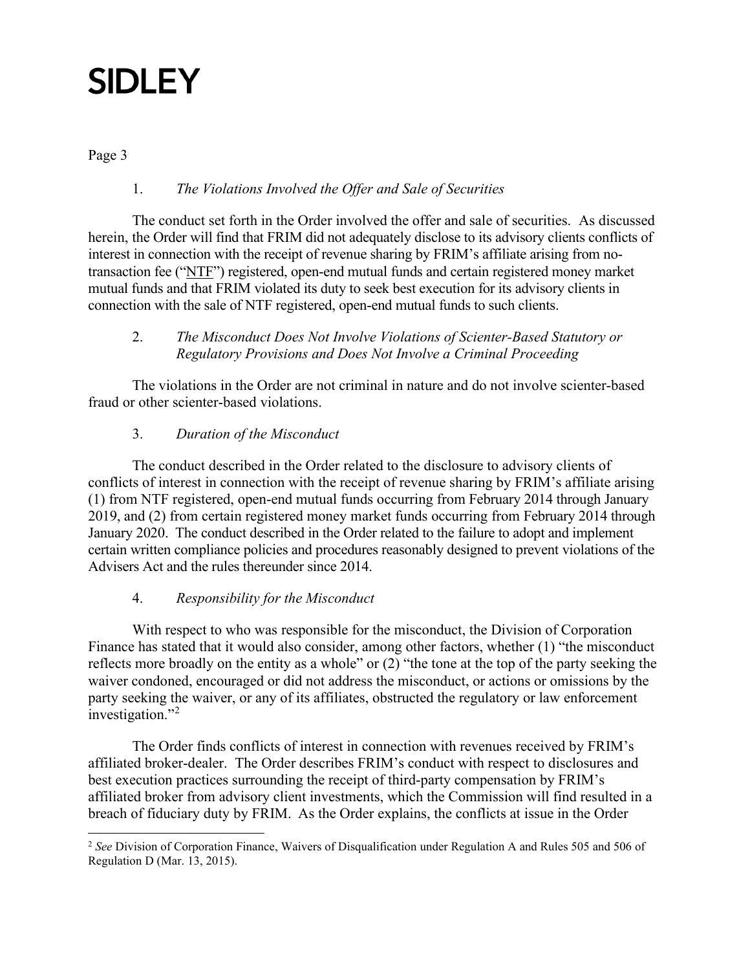Page 3

### 1. *The Violations Involved the Offer and Sale of Securities*

The conduct set forth in the Order involved the offer and sale of securities. As discussed herein, the Order will find that FRIM did not adequately disclose to its advisory clients conflicts of interest in connection with the receipt of revenue sharing by FRIM's affiliate arising from notransaction fee ("NTF") registered, open-end mutual funds and certain registered money market mutual funds and that FRIM violated its duty to seek best execution for its advisory clients in connection with the sale of NTF registered, open-end mutual funds to such clients.

### 2. *The Misconduct Does Not Involve Violations of Scienter-Based Statutory or Regulatory Provisions and Does Not Involve a Criminal Proceeding*

The violations in the Order are not criminal in nature and do not involve scienter-based fraud or other scienter-based violations.

### 3. *Duration of the Misconduct*

The conduct described in the Order related to the disclosure to advisory clients of conflicts of interest in connection with the receipt of revenue sharing by FRIM's affiliate arising (1) from NTF registered, open-end mutual funds occurring from February 2014 through January 2019, and (2) from certain registered money market funds occurring from February 2014 through January 2020. The conduct described in the Order related to the failure to adopt and implement certain written compliance policies and procedures reasonably designed to prevent violations of the Advisers Act and the rules thereunder since 2014.

### 4. *Responsibility for the Misconduct*

With respect to who was responsible for the misconduct, the Division of Corporation Finance has stated that it would also consider, among other factors, whether (1) "the misconduct reflects more broadly on the entity as a whole" or (2) "the tone at the top of the party seeking the waiver condoned, encouraged or did not address the misconduct, or actions or omissions by the party seeking the waiver, or any of its affiliates, obstructed the regulatory or law enforcement investigation."<sup>[2](#page-3-0)</sup>

The Order finds conflicts of interest in connection with revenues received by FRIM's affiliated broker-dealer. The Order describes FRIM's conduct with respect to disclosures and best execution practices surrounding the receipt of third-party compensation by FRIM's affiliated broker from advisory client investments, which the Commission will find resulted in a breach of fiduciary duty by FRIM. As the Order explains, the conflicts at issue in the Order

<span id="page-3-0"></span><sup>2</sup> *See* Division of Corporation Finance, Waivers of Disqualification under Regulation A and Rules 505 and 506 of Regulation D (Mar. 13, 2015).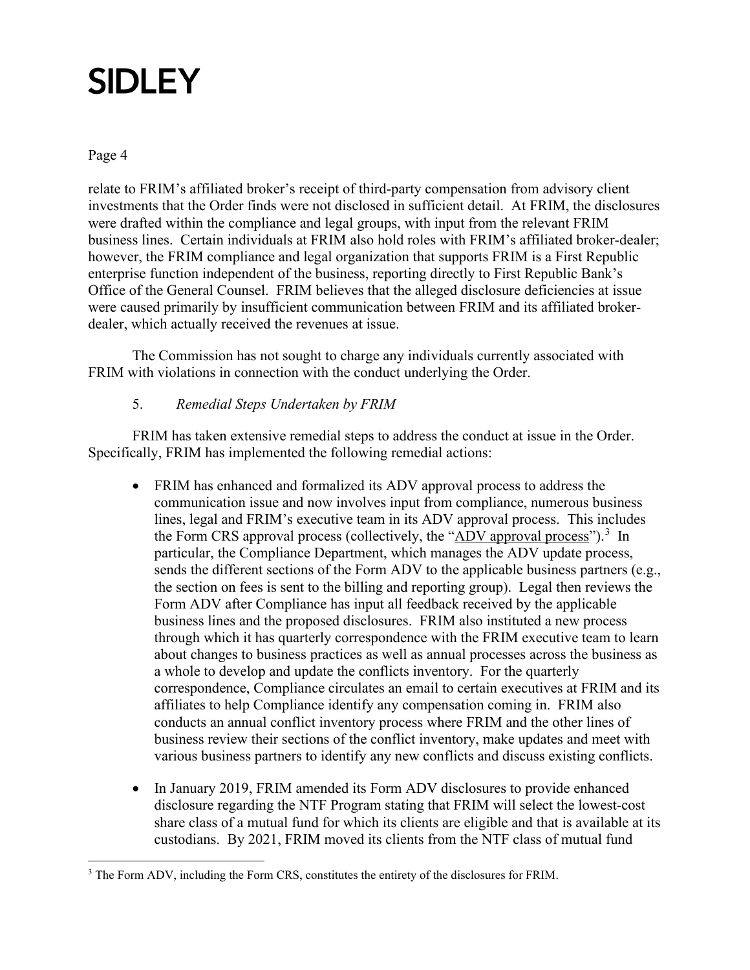Page 4

relate to FRIM's affiliated broker's receipt of third-party compensation from advisory client investments that the Order finds were not disclosed in sufficient detail. At FRIM, the disclosures were drafted within the compliance and legal groups, with input from the relevant FRIM business lines. Certain individuals at FRIM also hold roles with FRIM's affiliated broker-dealer; however, the FRIM compliance and legal organization that supports FRIM is a First Republic enterprise function independent of the business, reporting directly to First Republic Bank's Office of the General Counsel. FRIM believes that the alleged disclosure deficiencies at issue were caused primarily by insufficient communication between FRIM and its affiliated brokerdealer, which actually received the revenues at issue.

The Commission has not sought to charge any individuals currently associated with FRIM with violations in connection with the conduct underlying the Order.

### 5. *Remedial Steps Undertaken by FRIM*

FRIM has taken extensive remedial steps to address the conduct at issue in the Order. Specifically, FRIM has implemented the following remedial actions:

- FRIM has enhanced and formalized its ADV approval process to address the communication issue and now involves input from compliance, numerous business lines, legal and FRIM's executive team in its ADV approval process. This includes the Form CRS approval process (collectively, the "ADV approval process").<sup>[3](#page-4-0)</sup> In particular, the Compliance Department, which manages the ADV update process, sends the different sections of the Form ADV to the applicable business partners (e.g., the section on fees is sent to the billing and reporting group). Legal then reviews the Form ADV after Compliance has input all feedback received by the applicable business lines and the proposed disclosures. FRIM also instituted a new process through which it has quarterly correspondence with the FRIM executive team to learn about changes to business practices as well as annual processes across the business as a whole to develop and update the conflicts inventory. For the quarterly correspondence, Compliance circulates an email to certain executives at FRIM and its affiliates to help Compliance identify any compensation coming in. FRIM also conducts an annual conflict inventory process where FRIM and the other lines of business review their sections of the conflict inventory, make updates and meet with various business partners to identify any new conflicts and discuss existing conflicts.
- In January 2019, FRIM amended its Form ADV disclosures to provide enhanced disclosure regarding the NTF Program stating that FRIM will select the lowest-cost share class of a mutual fund for which its clients are eligible and that is available at its custodians. By 2021, FRIM moved its clients from the NTF class of mutual fund

<span id="page-4-0"></span><sup>&</sup>lt;sup>3</sup> The Form ADV, including the Form CRS, constitutes the entirety of the disclosures for FRIM.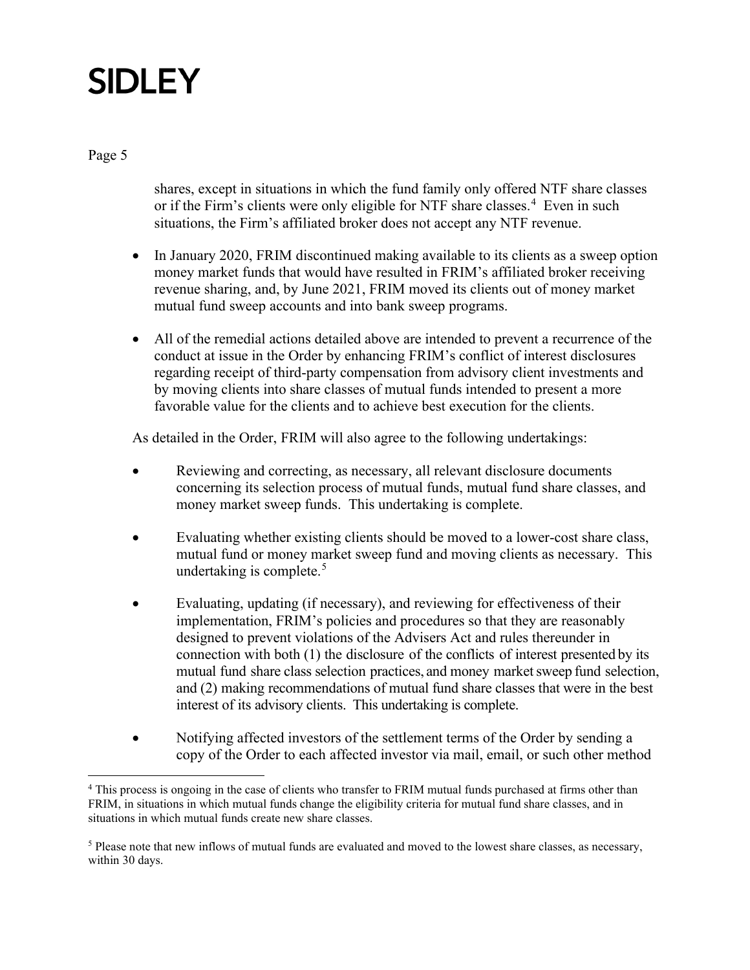Page 5

shares, except in situations in which the fund family only offered NTF share classes or if the Firm's clients were only eligible for NTF share classes.<sup>[4](#page-5-0)</sup> Even in such situations, the Firm's affiliated broker does not accept any NTF revenue.

- In January 2020, FRIM discontinued making available to its clients as a sweep option money market funds that would have resulted in FRIM's affiliated broker receiving revenue sharing, and, by June 2021, FRIM moved its clients out of money market mutual fund sweep accounts and into bank sweep programs.
- All of the remedial actions detailed above are intended to prevent a recurrence of the conduct at issue in the Order by enhancing FRIM's conflict of interest disclosures regarding receipt of third-party compensation from advisory client investments and by moving clients into share classes of mutual funds intended to present a more favorable value for the clients and to achieve best execution for the clients.

As detailed in the Order, FRIM will also agree to the following undertakings:

- Reviewing and correcting, as necessary, all relevant disclosure documents concerning its selection process of mutual funds, mutual fund share classes, and money market sweep funds. This undertaking is complete.
- Evaluating whether existing clients should be moved to a lower-cost share class, mutual fund or money market sweep fund and moving clients as necessary. This undertaking is complete. $5$
- Evaluating, updating (if necessary), and reviewing for effectiveness of their implementation, FRIM's policies and procedures so that they are reasonably designed to prevent violations of the Advisers Act and rules thereunder in connection with both (1) the disclosure of the conflicts of interest presented by its mutual fund share class selection practices, and money market sweep fund selection, and (2) making recommendations of mutual fund share classes that were in the best interest of its advisory clients. This undertaking is complete.
- Notifying affected investors of the settlement terms of the Order by sending a copy of the Order to each affected investor via mail, email, or such other method

<span id="page-5-0"></span><sup>4</sup> This process is ongoing in the case of clients who transfer to FRIM mutual funds purchased at firms other than FRIM, in situations in which mutual funds change the eligibility criteria for mutual fund share classes, and in situations in which mutual funds create new share classes.

<span id="page-5-1"></span><sup>5</sup> Please note that new inflows of mutual funds are evaluated and moved to the lowest share classes, as necessary, within 30 days.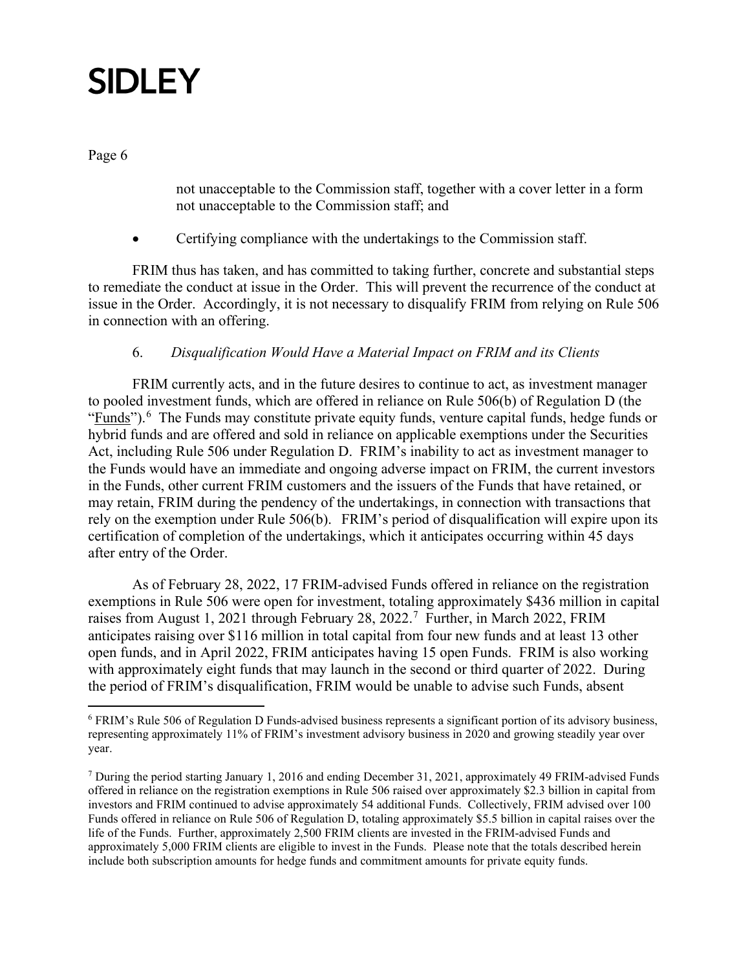Page 6

not unacceptable to the Commission staff, together with a cover letter in a form not unacceptable to the Commission staff; and

• Certifying compliance with the undertakings to the Commission staff.

FRIM thus has taken, and has committed to taking further, concrete and substantial steps to remediate the conduct at issue in the Order. This will prevent the recurrence of the conduct at issue in the Order. Accordingly, it is not necessary to disqualify FRIM from relying on Rule 506 in connection with an offering.

### 6. *Disqualification Would Have a Material Impact on FRIM and its Clients*

FRIM currently acts, and in the future desires to continue to act, as investment manager to pooled investment funds, which are offered in reliance on Rule 506(b) of Regulation D (the "Funds").<sup>[6](#page-6-0)</sup> The Funds may constitute private equity funds, venture capital funds, hedge funds or hybrid funds and are offered and sold in reliance on applicable exemptions under the Securities Act, including Rule 506 under Regulation D. FRIM's inability to act as investment manager to the Funds would have an immediate and ongoing adverse impact on FRIM, the current investors in the Funds, other current FRIM customers and the issuers of the Funds that have retained, or may retain, FRIM during the pendency of the undertakings, in connection with transactions that rely on the exemption under Rule 506(b). FRIM's period of disqualification will expire upon its certification of completion of the undertakings, which it anticipates occurring within 45 days after entry of the Order.

As of February 28, 2022, 17 FRIM-advised Funds offered in reliance on the registration exemptions in Rule 506 were open for investment, totaling approximately \$436 million in capital raises from August 1, 2021 through February 28, 2022.<sup>[7](#page-6-1)</sup> Further, in March 2022, FRIM anticipates raising over \$116 million in total capital from four new funds and at least 13 other open funds, and in April 2022, FRIM anticipates having 15 open Funds. FRIM is also working with approximately eight funds that may launch in the second or third quarter of 2022. During the period of FRIM's disqualification, FRIM would be unable to advise such Funds, absent

<span id="page-6-0"></span><sup>6</sup> FRIM's Rule 506 of Regulation D Funds-advised business represents a significant portion of its advisory business, representing approximately 11% of FRIM's investment advisory business in 2020 and growing steadily year over year.

<span id="page-6-1"></span><sup>7</sup> During the period starting January 1, 2016 and ending December 31, 2021, approximately 49 FRIM-advised Funds offered in reliance on the registration exemptions in Rule 506 raised over approximately \$2.3 billion in capital from investors and FRIM continued to advise approximately 54 additional Funds. Collectively, FRIM advised over 100 Funds offered in reliance on Rule 506 of Regulation D, totaling approximately \$5.5 billion in capital raises over the life of the Funds. Further, approximately 2,500 FRIM clients are invested in the FRIM-advised Funds and approximately 5,000 FRIM clients are eligible to invest in the Funds. Please note that the totals described herein include both subscription amounts for hedge funds and commitment amounts for private equity funds.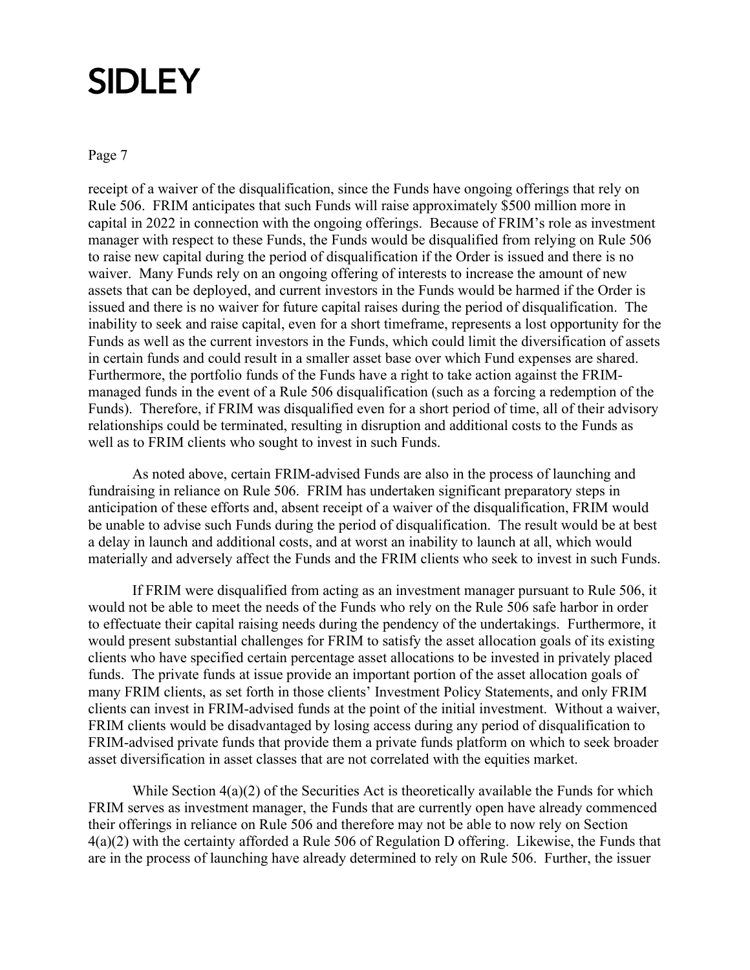Page 7

receipt of a waiver of the disqualification, since the Funds have ongoing offerings that rely on Rule 506. FRIM anticipates that such Funds will raise approximately \$500 million more in capital in 2022 in connection with the ongoing offerings. Because of FRIM's role as investment manager with respect to these Funds, the Funds would be disqualified from relying on Rule 506 to raise new capital during the period of disqualification if the Order is issued and there is no waiver. Many Funds rely on an ongoing offering of interests to increase the amount of new assets that can be deployed, and current investors in the Funds would be harmed if the Order is issued and there is no waiver for future capital raises during the period of disqualification. The inability to seek and raise capital, even for a short timeframe, represents a lost opportunity for the Funds as well as the current investors in the Funds, which could limit the diversification of assets in certain funds and could result in a smaller asset base over which Fund expenses are shared. Furthermore, the portfolio funds of the Funds have a right to take action against the FRIMmanaged funds in the event of a Rule 506 disqualification (such as a forcing a redemption of the Funds). Therefore, if FRIM was disqualified even for a short period of time, all of their advisory relationships could be terminated, resulting in disruption and additional costs to the Funds as well as to FRIM clients who sought to invest in such Funds.

As noted above, certain FRIM-advised Funds are also in the process of launching and fundraising in reliance on Rule 506. FRIM has undertaken significant preparatory steps in anticipation of these efforts and, absent receipt of a waiver of the disqualification, FRIM would be unable to advise such Funds during the period of disqualification. The result would be at best a delay in launch and additional costs, and at worst an inability to launch at all, which would materially and adversely affect the Funds and the FRIM clients who seek to invest in such Funds.

If FRIM were disqualified from acting as an investment manager pursuant to Rule 506, it would not be able to meet the needs of the Funds who rely on the Rule 506 safe harbor in order to effectuate their capital raising needs during the pendency of the undertakings. Furthermore, it would present substantial challenges for FRIM to satisfy the asset allocation goals of its existing clients who have specified certain percentage asset allocations to be invested in privately placed funds. The private funds at issue provide an important portion of the asset allocation goals of many FRIM clients, as set forth in those clients' Investment Policy Statements, and only FRIM clients can invest in FRIM-advised funds at the point of the initial investment. Without a waiver, FRIM clients would be disadvantaged by losing access during any period of disqualification to FRIM-advised private funds that provide them a private funds platform on which to seek broader asset diversification in asset classes that are not correlated with the equities market.

While Section  $4(a)(2)$  of the Securities Act is theoretically available the Funds for which FRIM serves as investment manager, the Funds that are currently open have already commenced their offerings in reliance on Rule 506 and therefore may not be able to now rely on Section 4(a)(2) with the certainty afforded a Rule 506 of Regulation D offering. Likewise, the Funds that are in the process of launching have already determined to rely on Rule 506. Further, the issuer